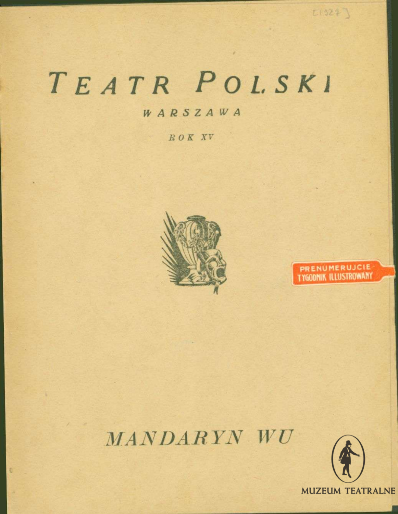# TEATR POLSKI

### WARSZAWA

ROK XV



### PRENUMERUJCIE **TYGODNIK ILLUSTROWANY**

 $E(324)$ 

### MANDARYN WU

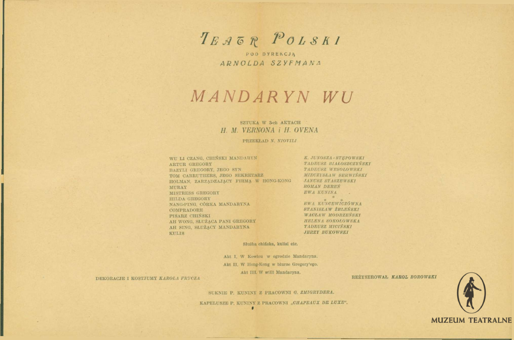TEAGR POLSKI

POD DYREKCJA ARNOLDA SZYFMANA

## MANDARYN WU

#### SZTUKA W 3-ch AKTACH H. M. VERNONA i H. OVENA

PRZEKŁAD N. NIOVILI

WU LI CZANG, CHIŃSKI MANDARYN ARTUR GREGORY BAZYLI GREGORY, JEGO SYN TOM CARRUTHERS, JEGO SEKRETARZ HOLMAN, ZARZĄDZAJĄCY FIRMĄ W HONG-KONG MURAY MISTRESS GREGORY HILDA GREGORY NANG-PING, CÓRKA MANDARYNA COMPRADORE PISARZ CHIŃSKI AH WONG, SŁUŻĄCA PANI GREGORY AH SING, SŁUŻĄCY MANDARYNA **KULIS** 

K. JUNOSZA · STEPOWSKI TADEUSZ BIAŁOSZCZYŃSKI TADEUSZ WESOŁOWSKI MIECZYSŁAW SERWIŃSKI **JANUSZ STASZEWSKI ROMAN DEREN** EWA KUNINA

EWA KUNCEWICZÓWNA STANISŁAW ŻELEŃSKI WACŁAW MODRZEŃSKI HELENA SOKOŁOWSKA TADEUSZ MICIŃSKI **JERZY BUKOWSKI** 

Służba chińska, kulisi etc.

Akt I. W Kowlou w ogrodzie Mandaryna. Akt II. W Hong-Kong w blurze Gregory'ego. Akt III. W willi Mandaryna.

DEKORACJE I KOSTJUMY KAROLA FRYCZA

REŻYSEROWAŁ KAROL BOROWSKI



KAPELUSZE P. KUNINY Z PRACOWNI "CHAPEAUX DE LUXE".

 $\overline{\phantom{a}}$ 

**MUZEUM TEATRALNE**